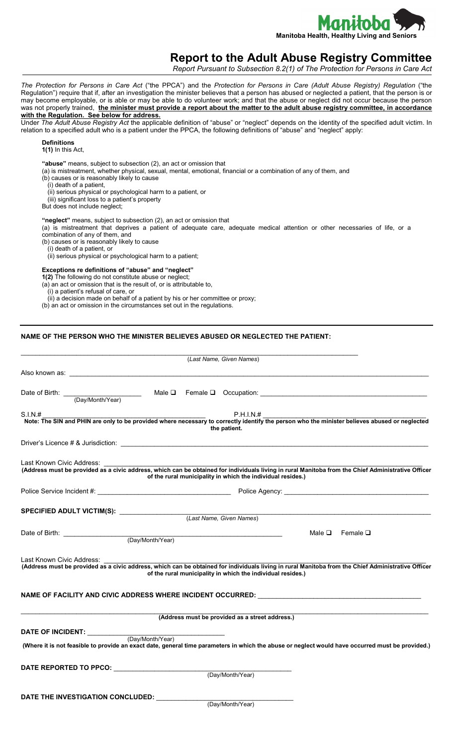

# **Report to the Adult Abuse Registry Committee**

*Report Pursuant to Subsection 8.2(1) of The Protection for Persons in Care Act*

*The Protection for Persons in Care Act* ("the PPCA") and the *Protection for Persons in Care (Adult Abuse Registry) Regulation* ("the Regulation") require that if, after an investigation the minister believes that a person has abused or neglected a patient, that the person is or may become employable, or is able or may be able to do volunteer work; and that the abuse or neglect did not occur because the person was not properly trained, **the minister must provide a report about the matter to the adult abuse registry committee, in accordance with the Regulation. See below for address.** 

Under *The Adult Abuse Registry Act* the applicable definition of "abuse" or "neglect" depends on the identity of the specified adult victim. In relation to a specified adult who is a patient under the PPCA, the following definitions of "abuse" and "neglect" apply:

## **Definitions**

**1(1)** In this Act,

**"abuse"** means, subject to subsection (2), an act or omission that

(a) is mistreatment, whether physical, sexual, mental, emotional, financial or a combination of any of them, and

(b) causes or is reasonably likely to cause

(i) death of a patient,

(ii) serious physical or psychological harm to a patient, or

(iii) significant loss to a patient's property

But does not include neglect;

**"neglect"** means, subject to subsection (2), an act or omission that

(a) is mistreatment that deprives a patient of adequate care, adequate medical attention or other necessaries of life, or a combination of any of them, and

(b) causes or is reasonably likely to cause

(i) death of a patient, or

(ii) serious physical or psychological harm to a patient;

#### **Exceptions re definitions of "abuse" and "neglect"**

**1(2)** The following do not constitute abuse or neglect;

(a) an act or omission that is the result of, or is attributable to,

(i) a patient's refusal of care, or

(ii) a decision made on behalf of a patient by his or her committee or proxy;

(b) an act or omission in the circumstances set out in the regulations.

### **NAME OF THE PERSON WHO THE MINISTER BELIEVES ABUSED OR NEGLECTED THE PATIENT:**

|                                                                                                                                                                                                                                                                      |                  | (Last Name, Given Names)                                    |                           |
|----------------------------------------------------------------------------------------------------------------------------------------------------------------------------------------------------------------------------------------------------------------------|------------------|-------------------------------------------------------------|---------------------------|
|                                                                                                                                                                                                                                                                      |                  |                                                             |                           |
|                                                                                                                                                                                                                                                                      |                  |                                                             |                           |
| S.I.N.#                                                                                                                                                                                                                                                              |                  | P.H.I.N.#<br>the patient.                                   |                           |
| Driver's Licence # & Jurisdiction: New York 2014 19:30 AM AND THE SERVICE OF STRING AND THE SERVICE OF STRING                                                                                                                                                        |                  |                                                             |                           |
| Last Known Civic Address:<br>(Address must be provided as a civic address, which can be obtained for individuals living in rural Manitoba from the Chief Administrative Officer                                                                                      |                  | of the rural municipality in which the individual resides.) |                           |
|                                                                                                                                                                                                                                                                      |                  |                                                             |                           |
| SPECIFIED ADULT VICTIM(S): ________________                                                                                                                                                                                                                          |                  | (Last Name, Given Names)                                    |                           |
|                                                                                                                                                                                                                                                                      |                  |                                                             | Male $\Box$ Female $\Box$ |
| Last Known Civic Address:<br>(Address must be provided as a civic address, which can be obtained for individuals living in rural Manitoba from the Chief Administrative Officer<br>NAME OF FACILITY AND CIVIC ADDRESS WHERE INCIDENT OCCURRED: _____________________ |                  | of the rural municipality in which the individual resides.) |                           |
|                                                                                                                                                                                                                                                                      |                  | (Address must be provided as a street address.)             |                           |
| DATE OF INCIDENT: ____________<br>(Where it is not feasible to provide an exact date, general time parameters in which the abuse or neglect would have occurred must be provided.)                                                                                   | (Day/Month/Year) |                                                             |                           |
| DATE REPORTED TO PPCO: (Day/Month/Year)                                                                                                                                                                                                                              |                  |                                                             |                           |
| DATE THE INVESTIGATION CONCLUDED:                                                                                                                                                                                                                                    |                  | (Day/Month/Year)                                            |                           |